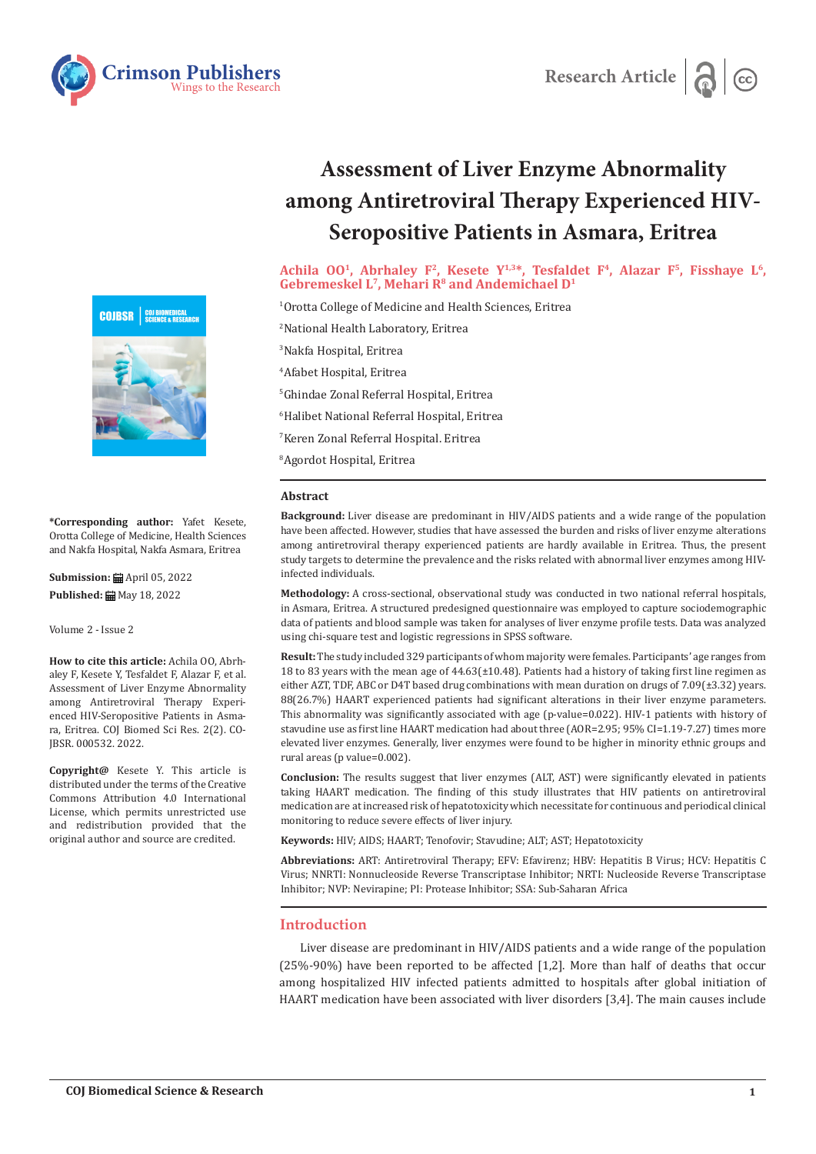



**\*Corresponding author:** Yafet Kesete, Orotta College of Medicine, Health Sciences and Nakfa Hospital, Nakfa Asmara, Eritrea

**Submission:** April 05, 2022 Published: **■** May 18, 2022

Volume 2 - Issue 2

**How to cite this article:** Achila OO, Abrhaley F, Kesete Y, Tesfaldet F, Alazar F, et al. Assessment of Liver Enzyme Abnormality among Antiretroviral Therapy Experienced HIV-Seropositive Patients in Asmara, Eritrea. COJ Biomed Sci Res. 2(2). CO-JBSR. 000532. 2022.

**Copyright@** Kesete Y. This article is distributed under the terms of the Creative Commons Attribution 4.0 International License, which permits unrestricted use and redistribution provided that the original author and source are credited.

# **Assessment of Liver Enzyme Abnormality among Antiretroviral Therapy Experienced HIV-Seropositive Patients in Asmara, Eritrea**

Research Article **Research Article** 

Achila 00<sup>1</sup>, Abrhaley F<sup>2</sup>, Kesete Y<sup>1,3\*</sup>, Tesfaldet F<sup>4</sup>, Alazar F<sup>5</sup>, Fisshaye L<sup>6</sup>, Gebremeskel L<sup>7</sup>, Mehari R<sup>8</sup> and Andemichael D<sup>1</sup>

 Orotta College of Medicine and Health Sciences, Eritrea National Health Laboratory, Eritrea Nakfa Hospital, Eritrea Afabet Hospital, Eritrea Ghindae Zonal Referral Hospital, Eritrea Halibet National Referral Hospital, Eritrea Keren Zonal Referral Hospital. Eritrea Agordot Hospital, Eritrea

#### **Abstract**

**Background:** Liver disease are predominant in HIV/AIDS patients and a wide range of the population have been affected. However, studies that have assessed the burden and risks of liver enzyme alterations among antiretroviral therapy experienced patients are hardly available in Eritrea. Thus, the present study targets to determine the prevalence and the risks related with abnormal liver enzymes among HIVinfected individuals.

**Methodology:** A cross-sectional, observational study was conducted in two national referral hospitals, in Asmara, Eritrea. A structured predesigned questionnaire was employed to capture sociodemographic data of patients and blood sample was taken for analyses of liver enzyme profile tests. Data was analyzed using chi-square test and logistic regressions in SPSS software.

**Result:** The study included 329 participants of whom majority were females. Participants' age ranges from 18 to 83 years with the mean age of 44.63(±10.48). Patients had a history of taking first line regimen as either AZT, TDF, ABC or D4T based drug combinations with mean duration on drugs of 7.09(±3.32) years. 88(26.7%) HAART experienced patients had significant alterations in their liver enzyme parameters. This abnormality was significantly associated with age (p-value=0.022). HIV-1 patients with history of stavudine use as first line HAART medication had about three (AOR=2.95; 95% CI=1.19-7.27) times more elevated liver enzymes. Generally, liver enzymes were found to be higher in minority ethnic groups and rural areas (p value=0.002).

**Conclusion:** The results suggest that liver enzymes (ALT, AST) were significantly elevated in patients taking HAART medication. The finding of this study illustrates that HIV patients on antiretroviral medication are at increased risk of hepatotoxicity which necessitate for continuous and periodical clinical monitoring to reduce severe effects of liver injury.

**Keywords:** HIV; AIDS; HAART; Tenofovir; Stavudine; ALT; AST; Hepatotoxicity

**Abbreviations:** ART: Antiretroviral Therapy; EFV: Efavirenz; HBV: Hepatitis B Virus; HCV: Hepatitis C Virus; NNRTI: Nonnucleoside Reverse Transcriptase Inhibitor; NRTI: Nucleoside Reverse Transcriptase Inhibitor; NVP: Nevirapine; PI: Protease Inhibitor; SSA: Sub-Saharan Africa

## **Introduction**

Liver disease are predominant in HIV/AIDS patients and a wide range of the population (25%-90%) have been reported to be affected [1,2]. More than half of deaths that occur among hospitalized HIV infected patients admitted to hospitals after global initiation of HAART medication have been associated with liver disorders [3,4]. The main causes include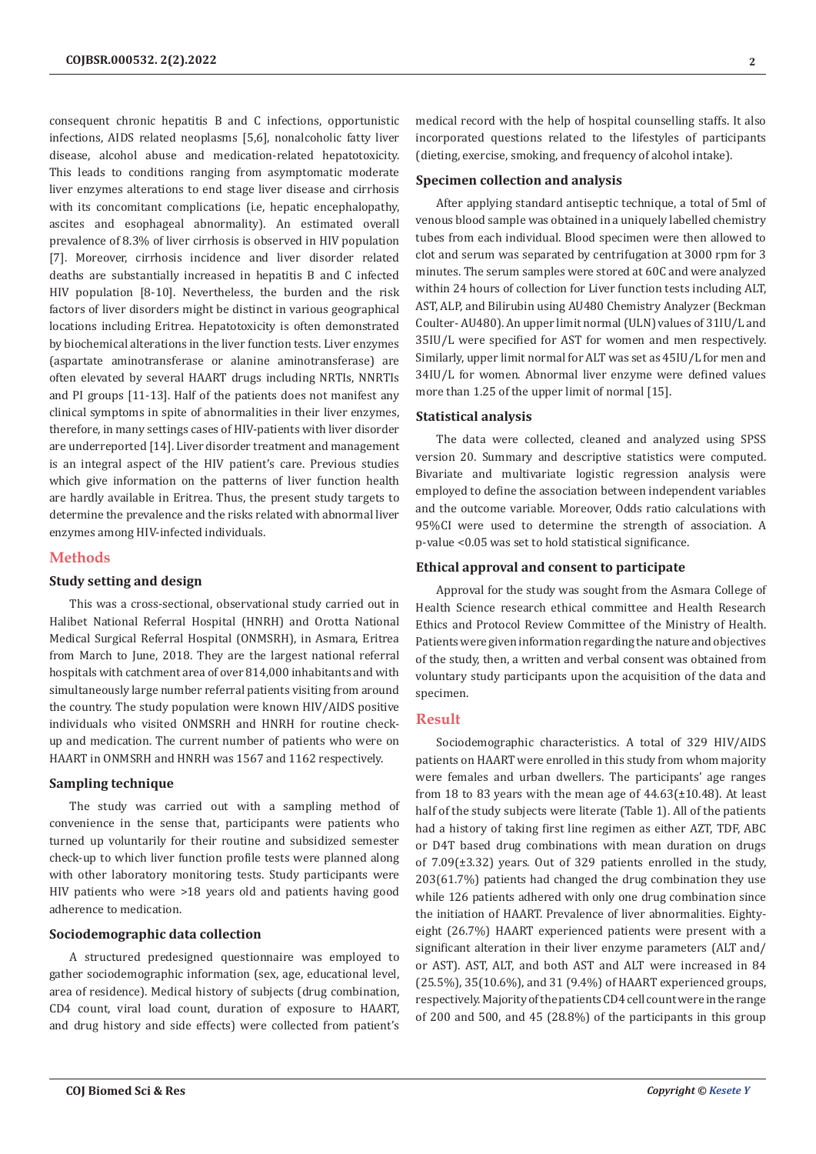consequent chronic hepatitis B and C infections, opportunistic infections, AIDS related neoplasms [5,6], nonalcoholic fatty liver disease, alcohol abuse and medication-related hepatotoxicity. This leads to conditions ranging from asymptomatic moderate liver enzymes alterations to end stage liver disease and cirrhosis with its concomitant complications (i.e, hepatic encephalopathy, ascites and esophageal abnormality). An estimated overall prevalence of 8.3% of liver cirrhosis is observed in HIV population [7]. Moreover, cirrhosis incidence and liver disorder related deaths are substantially increased in hepatitis B and C infected HIV population [8-10]. Nevertheless, the burden and the risk factors of liver disorders might be distinct in various geographical locations including Eritrea. Hepatotoxicity is often demonstrated by biochemical alterations in the liver function tests. Liver enzymes (aspartate aminotransferase or alanine aminotransferase) are often elevated by several HAART drugs including NRTIs, NNRTIs and PI groups [11-13]. Half of the patients does not manifest any clinical symptoms in spite of abnormalities in their liver enzymes, therefore, in many settings cases of HIV-patients with liver disorder are underreported [14]. Liver disorder treatment and management is an integral aspect of the HIV patient's care. Previous studies which give information on the patterns of liver function health are hardly available in Eritrea. Thus, the present study targets to determine the prevalence and the risks related with abnormal liver enzymes among HIV-infected individuals.

## **Methods**

# **Study setting and design**

This was a cross-sectional, observational study carried out in Halibet National Referral Hospital (HNRH) and Orotta National Medical Surgical Referral Hospital (ONMSRH), in Asmara, Eritrea from March to June, 2018. They are the largest national referral hospitals with catchment area of over 814,000 inhabitants and with simultaneously large number referral patients visiting from around the country. The study population were known HIV/AIDS positive individuals who visited ONMSRH and HNRH for routine checkup and medication. The current number of patients who were on HAART in ONMSRH and HNRH was 1567 and 1162 respectively.

#### **Sampling technique**

The study was carried out with a sampling method of convenience in the sense that, participants were patients who turned up voluntarily for their routine and subsidized semester check-up to which liver function profile tests were planned along with other laboratory monitoring tests. Study participants were HIV patients who were >18 years old and patients having good adherence to medication.

#### **Sociodemographic data collection**

A structured predesigned questionnaire was employed to gather sociodemographic information (sex, age, educational level, area of residence). Medical history of subjects (drug combination, CD4 count, viral load count, duration of exposure to HAART, and drug history and side effects) were collected from patient's

medical record with the help of hospital counselling staffs. It also incorporated questions related to the lifestyles of participants (dieting, exercise, smoking, and frequency of alcohol intake).

#### **Specimen collection and analysis**

After applying standard antiseptic technique, a total of 5ml of venous blood sample was obtained in a uniquely labelled chemistry tubes from each individual. Blood specimen were then allowed to clot and serum was separated by centrifugation at 3000 rpm for 3 minutes. The serum samples were stored at 60C and were analyzed within 24 hours of collection for Liver function tests including ALT, AST, ALP, and Bilirubin using AU480 Chemistry Analyzer (Beckman Coulter- AU480). An upper limit normal (ULN) values of 31IU/L and 35IU/L were specified for AST for women and men respectively. Similarly, upper limit normal for ALT was set as 45IU/L for men and 34IU/L for women. Abnormal liver enzyme were defined values more than 1.25 of the upper limit of normal [15].

## **Statistical analysis**

The data were collected, cleaned and analyzed using SPSS version 20. Summary and descriptive statistics were computed. Bivariate and multivariate logistic regression analysis were employed to define the association between independent variables and the outcome variable. Moreover, Odds ratio calculations with 95%CI were used to determine the strength of association. A p-value <0.05 was set to hold statistical significance.

#### **Ethical approval and consent to participate**

Approval for the study was sought from the Asmara College of Health Science research ethical committee and Health Research Ethics and Protocol Review Committee of the Ministry of Health. Patients were given information regarding the nature and objectives of the study, then, a written and verbal consent was obtained from voluntary study participants upon the acquisition of the data and specimen.

## **Result**

Sociodemographic characteristics. A total of 329 HIV/AIDS patients on HAART were enrolled in this study from whom majority were females and urban dwellers. The participants' age ranges from 18 to 83 years with the mean age of  $44.63(\pm 10.48)$ . At least half of the study subjects were literate (Table 1). All of the patients had a history of taking first line regimen as either AZT, TDF, ABC or D4T based drug combinations with mean duration on drugs of 7.09(±3.32) years. Out of 329 patients enrolled in the study, 203(61.7%) patients had changed the drug combination they use while 126 patients adhered with only one drug combination since the initiation of HAART. Prevalence of liver abnormalities. Eightyeight (26.7%) HAART experienced patients were present with a significant alteration in their liver enzyme parameters (ALT and/ or AST). AST, ALT, and both AST and ALT were increased in 84 (25.5%), 35(10.6%), and 31 (9.4%) of HAART experienced groups, respectively. Majority of the patients CD4 cell count were in the range of 200 and 500, and 45 (28.8%) of the participants in this group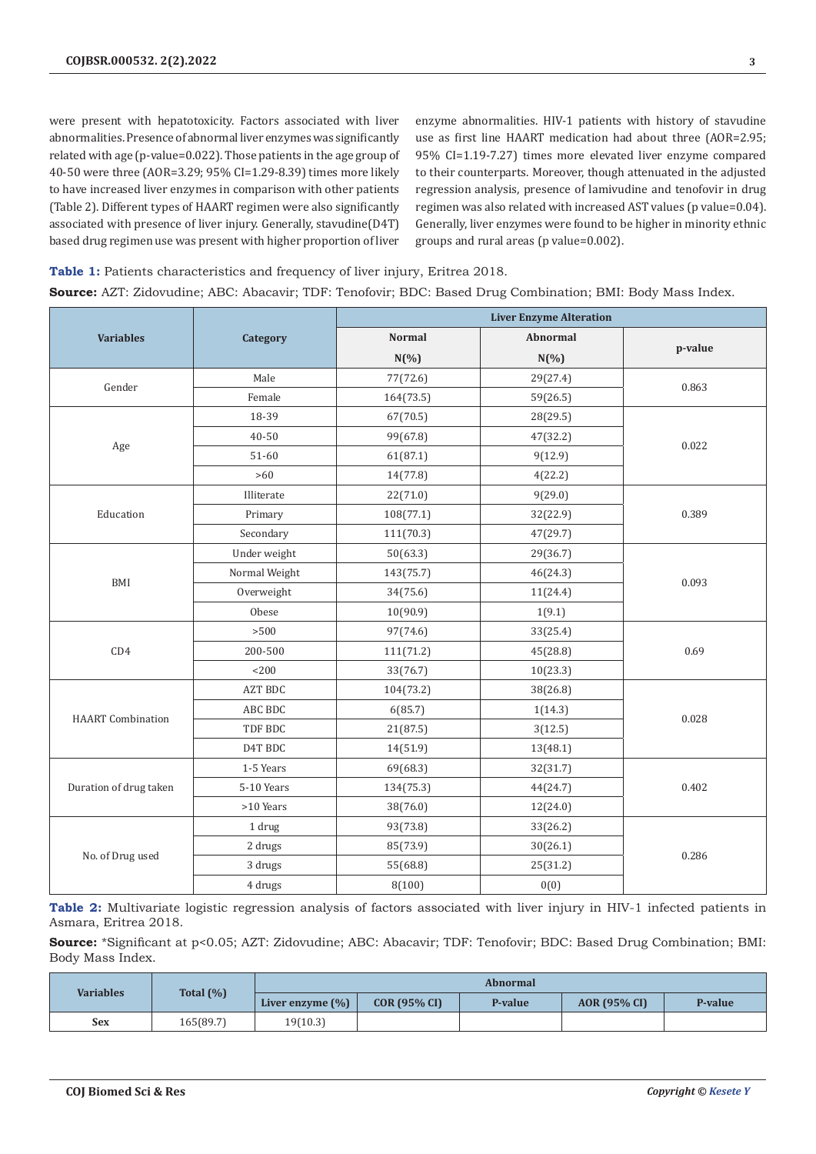were present with hepatotoxicity. Factors associated with liver abnormalities. Presence of abnormal liver enzymes was significantly related with age (p-value=0.022). Those patients in the age group of 40-50 were three (AOR=3.29; 95% CI=1.29-8.39) times more likely to have increased liver enzymes in comparison with other patients (Table 2). Different types of HAART regimen were also significantly associated with presence of liver injury. Generally, stavudine(D4T) based drug regimen use was present with higher proportion of liver

enzyme abnormalities. HIV-1 patients with history of stavudine use as first line HAART medication had about three (AOR=2.95; 95% CI=1.19-7.27) times more elevated liver enzyme compared to their counterparts. Moreover, though attenuated in the adjusted regression analysis, presence of lamivudine and tenofovir in drug regimen was also related with increased AST values (p value=0.04). Generally, liver enzymes were found to be higher in minority ethnic groups and rural areas (p value=0.002).

**Table 1:** Patients characteristics and frequency of liver injury, Eritrea 2018. **Source:** AZT: Zidovudine; ABC: Abacavir; TDF: Tenofovir; BDC: Based Drug Combination; BMI: Body Mass Index.

|                          |                | <b>Liver Enzyme Alteration</b>   |          |         |  |
|--------------------------|----------------|----------------------------------|----------|---------|--|
| <b>Variables</b>         | Category       | <b>Normal</b><br><b>Abnormal</b> |          |         |  |
|                          |                | $N(\% )$                         | $N(\%)$  | p-value |  |
|                          | Male           | 77(72.6)                         | 29(27.4) | 0.863   |  |
| Gender                   | Female         | 164(73.5)                        | 59(26.5) |         |  |
|                          | 18-39          | 67(70.5)                         | 28(29.5) |         |  |
|                          | 40-50          | 99(67.8)                         | 47(32.2) | 0.022   |  |
| Age                      | $51 - 60$      | 61(87.1)                         | 9(12.9)  |         |  |
|                          | $>60$          | 14(77.8)                         | 4(22.2)  |         |  |
|                          | Illiterate     | 22(71.0)                         | 9(29.0)  |         |  |
| Education                | Primary        | 108(77.1)                        | 32(22.9) | 0.389   |  |
|                          | Secondary      | 111(70.3)                        | 47(29.7) |         |  |
|                          | Under weight   | 50(63.3)                         | 29(36.7) |         |  |
|                          | Normal Weight  | 143(75.7)                        | 46(24.3) |         |  |
| BMI                      | Overweight     | 34(75.6)                         | 11(24.4) | 0.093   |  |
|                          | Obese          | 10(90.9)                         | 1(9.1)   |         |  |
|                          | $>500$         | 97(74.6)                         | 33(25.4) |         |  |
| CD4                      | 200-500        | 111(71.2)                        | 45(28.8) | 0.69    |  |
|                          | < 200          | 33(76.7)                         | 10(23.3) |         |  |
|                          | <b>AZT BDC</b> | 104(73.2)                        | 38(26.8) |         |  |
|                          | ABC BDC        | 6(85.7)                          | 1(14.3)  | 0.028   |  |
| <b>HAART</b> Combination | TDF BDC        | 21(87.5)                         | 3(12.5)  |         |  |
|                          | D4T BDC        | 14(51.9)                         | 13(48.1) |         |  |
| Duration of drug taken   | 1-5 Years      | 69(68.3)                         | 32(31.7) | 0.402   |  |
|                          | 5-10 Years     | 134(75.3)                        | 44(24.7) |         |  |
|                          | >10 Years      | 38(76.0)                         | 12(24.0) |         |  |
| No. of Drug used         | 1 drug         | 93(73.8)                         | 33(26.2) |         |  |
|                          | 2 drugs        | 85(73.9)                         | 30(26.1) | 0.286   |  |
|                          | 3 drugs        | 55(68.8)                         | 25(31.2) |         |  |
|                          | 4 drugs        | 8(100)                           | 0(0)     |         |  |

**Table 2:** Multivariate logistic regression analysis of factors associated with liver injury in HIV-1 infected patients in Asmara, Eritrea 2018.

**Source:** \*Significant at p<0.05; AZT: Zidovudine; ABC: Abacavir; TDF: Tenofovir; BDC: Based Drug Combination; BMI: Body Mass Index.

| <b>Variables</b> | Total $(\%)$ | <b>Abnormal</b>      |                |         |              |         |
|------------------|--------------|----------------------|----------------|---------|--------------|---------|
|                  |              | Liver enzyme $(\% )$ | $COR(95\% CI)$ | P-value | AOR (95% CI) | P-value |
| Sex              | 165(89.7)    | 19(10.3)             |                |         |              |         |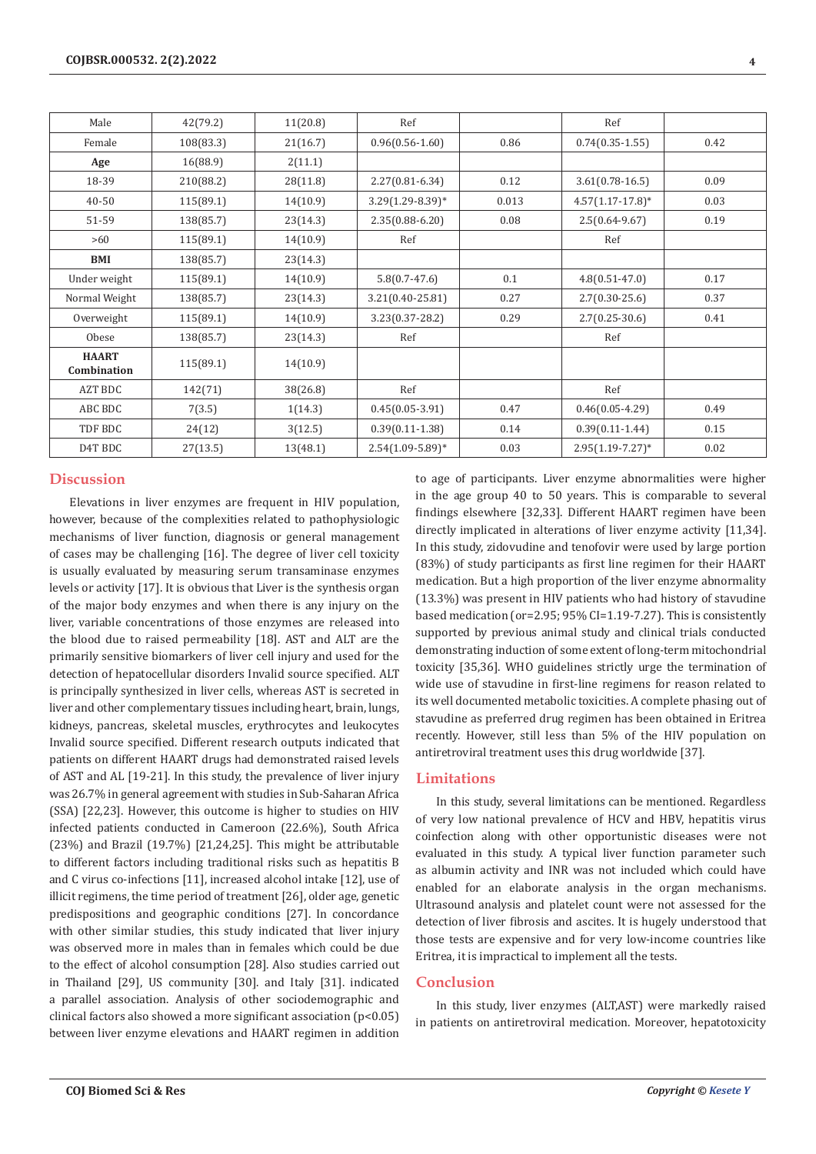| Male                        | 42(79.2)  | 11(20.8) | Ref                  |       | Ref                   |      |
|-----------------------------|-----------|----------|----------------------|-------|-----------------------|------|
| Female                      | 108(83.3) | 21(16.7) | $0.96(0.56 - 1.60)$  | 0.86  | $0.74(0.35-1.55)$     | 0.42 |
| Age                         | 16(88.9)  | 2(11.1)  |                      |       |                       |      |
| 18-39                       | 210(88.2) | 28(11.8) | $2.27(0.81 - 6.34)$  | 0.12  | $3.61(0.78-16.5)$     | 0.09 |
| $40 - 50$                   | 115(89.1) | 14(10.9) | 3.29(1.29-8.39)*     | 0.013 | $4.57(1.17-17.8)*$    | 0.03 |
| 51-59                       | 138(85.7) | 23(14.3) | $2.35(0.88 - 6.20)$  | 0.08  | $2.5(0.64 - 9.67)$    | 0.19 |
| >60                         | 115(89.1) | 14(10.9) | Ref                  |       | Ref                   |      |
| BMI                         | 138(85.7) | 23(14.3) |                      |       |                       |      |
| Under weight                | 115(89.1) | 14(10.9) | $5.8(0.7-47.6)$      | 0.1   | $4.8(0.51 - 47.0)$    | 0.17 |
| Normal Weight               | 138(85.7) | 23(14.3) | 3.21(0.40-25.81)     | 0.27  | $2.7(0.30 - 25.6)$    | 0.37 |
| Overweight                  | 115(89.1) | 14(10.9) | $3.23(0.37 - 28.2)$  | 0.29  | $2.7(0.25-30.6)$      | 0.41 |
| Obese                       | 138(85.7) | 23(14.3) | Ref                  |       | Ref                   |      |
| <b>HAART</b><br>Combination | 115(89.1) | 14(10.9) |                      |       |                       |      |
| AZT BDC                     | 142(71)   | 38(26.8) | Ref                  |       | Ref                   |      |
| ABC BDC                     | 7(3.5)    | 1(14.3)  | $0.45(0.05-3.91)$    | 0.47  | $0.46(0.05-4.29)$     | 0.49 |
| TDF BDC                     | 24(12)    | 3(12.5)  | $0.39(0.11 - 1.38)$  | 0.14  | $0.39(0.11 - 1.44)$   | 0.15 |
| D4T BDC                     | 27(13.5)  | 13(48.1) | $2.54(1.09 - 5.89)*$ | 0.03  | $2.95(1.19 - 7.27)^*$ | 0.02 |

# **Discussion**

Elevations in liver enzymes are frequent in HIV population, however, because of the complexities related to pathophysiologic mechanisms of liver function, diagnosis or general management of cases may be challenging [16]. The degree of liver cell toxicity is usually evaluated by measuring serum transaminase enzymes levels or activity [17]. It is obvious that Liver is the synthesis organ of the major body enzymes and when there is any injury on the liver, variable concentrations of those enzymes are released into the blood due to raised permeability [18]. AST and ALT are the primarily sensitive biomarkers of liver cell injury and used for the detection of hepatocellular disorders Invalid source specified. ALT is principally synthesized in liver cells, whereas AST is secreted in liver and other complementary tissues including heart, brain, lungs, kidneys, pancreas, skeletal muscles, erythrocytes and leukocytes Invalid source specified. Different research outputs indicated that patients on different HAART drugs had demonstrated raised levels of AST and AL [19-21]. In this study, the prevalence of liver injury was 26.7% in general agreement with studies in Sub-Saharan Africa (SSA) [22,23]. However, this outcome is higher to studies on HIV infected patients conducted in Cameroon (22.6%), South Africa (23%) and Brazil (19.7%) [21,24,25]. This might be attributable to different factors including traditional risks such as hepatitis B and C virus co-infections [11], increased alcohol intake [12], use of illicit regimens, the time period of treatment [26], older age, genetic predispositions and geographic conditions [27]. In concordance with other similar studies, this study indicated that liver injury was observed more in males than in females which could be due to the effect of alcohol consumption [28]. Also studies carried out in Thailand [29], US community [30]. and Italy [31]. indicated a parallel association. Analysis of other sociodemographic and clinical factors also showed a more significant association (p<0.05) between liver enzyme elevations and HAART regimen in addition

to age of participants. Liver enzyme abnormalities were higher in the age group 40 to 50 years. This is comparable to several findings elsewhere [32,33]. Different HAART regimen have been directly implicated in alterations of liver enzyme activity [11,34]. In this study, zidovudine and tenofovir were used by large portion (83%) of study participants as first line regimen for their HAART medication. But a high proportion of the liver enzyme abnormality (13.3%) was present in HIV patients who had history of stavudine based medication (or=2.95; 95% CI=1.19-7.27). This is consistently supported by previous animal study and clinical trials conducted demonstrating induction of some extent of long-term mitochondrial toxicity [35,36]. WHO guidelines strictly urge the termination of wide use of stavudine in first-line regimens for reason related to its well documented metabolic toxicities. A complete phasing out of stavudine as preferred drug regimen has been obtained in Eritrea recently. However, still less than 5% of the HIV population on antiretroviral treatment uses this drug worldwide [37].

# **Limitations**

In this study, several limitations can be mentioned. Regardless of very low national prevalence of HCV and HBV, hepatitis virus coinfection along with other opportunistic diseases were not evaluated in this study. A typical liver function parameter such as albumin activity and INR was not included which could have enabled for an elaborate analysis in the organ mechanisms. Ultrasound analysis and platelet count were not assessed for the detection of liver fibrosis and ascites. It is hugely understood that those tests are expensive and for very low-income countries like Eritrea, it is impractical to implement all the tests.

# **Conclusion**

In this study, liver enzymes (ALT,AST) were markedly raised in patients on antiretroviral medication. Moreover, hepatotoxicity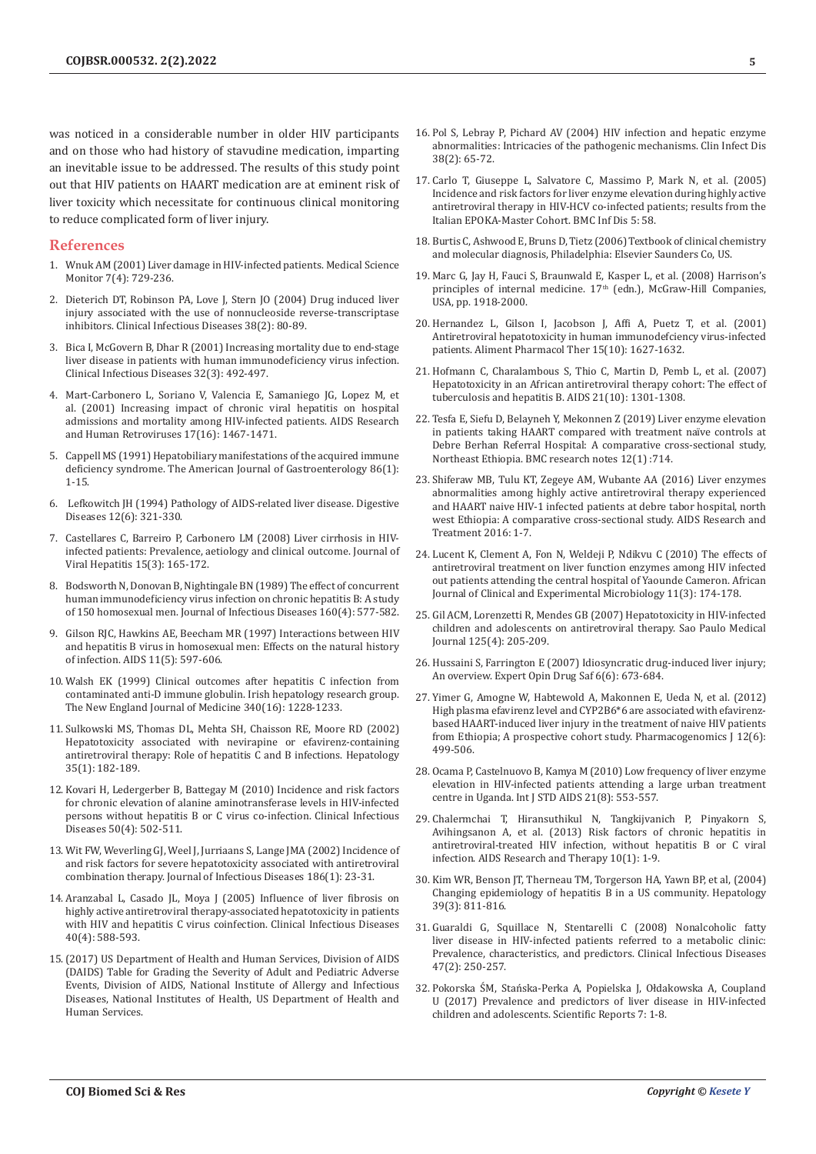was noticed in a considerable number in older HIV participants and on those who had history of stavudine medication, imparting an inevitable issue to be addressed. The results of this study point out that HIV patients on HAART medication are at eminent risk of liver toxicity which necessitate for continuous clinical monitoring to reduce complicated form of liver injury.

## **References**

- 1. [Wnuk AM \(2001\) Liver damage in HIV-infected patients. Medical Science](https://pubmed.ncbi.nlm.nih.gov/11433202/)  [Monitor 7\(4\): 729-236.](https://pubmed.ncbi.nlm.nih.gov/11433202/)
- 2. Dieterich DT, Robinson [PA, Love J, Stern JO \(2004\) Drug induced liver](https://pubmed.ncbi.nlm.nih.gov/14986279/)  [injury associated with the use of nonnucleoside reverse-transcriptase](https://pubmed.ncbi.nlm.nih.gov/14986279/)  [inhibitors. Clinical Infectious Diseases 38\(2\): 80-89.](https://pubmed.ncbi.nlm.nih.gov/14986279/)
- 3. Bica I, McGovern B, Dhar [R \(2001\) Increasing mortality due to end-stage](https://pubmed.ncbi.nlm.nih.gov/11170959/)  [liver disease in patients with human immunodeficiency virus infection.](https://pubmed.ncbi.nlm.nih.gov/11170959/)  [Clinical Infectious Diseases 32\(3\): 492-497.](https://pubmed.ncbi.nlm.nih.gov/11170959/)
- 4. [Mart-Carbonero](https://pubmed.ncbi.nlm.nih.gov/11709090/) L, Soriano V, Valencia E, Samaniego JG, Lopez M, et [al. \(2001\) Increasing impact of chronic viral hepatitis on hospital](https://pubmed.ncbi.nlm.nih.gov/11709090/)  [admissions and mortality among HIV-infected patients. AIDS Research](https://pubmed.ncbi.nlm.nih.gov/11709090/)  [and Human Retroviruses 17\(16\): 1467-1471.](https://pubmed.ncbi.nlm.nih.gov/11709090/)
- 5. [Cappell MS \(1991\) Hepatobiliary manifestations of the acquired immune](https://pubmed.ncbi.nlm.nih.gov/1986533/)  [deficiency syndrome. The American Journal of Gastroenterology 86\(1\):](https://pubmed.ncbi.nlm.nih.gov/1986533/)  [1-15.](https://pubmed.ncbi.nlm.nih.gov/1986533/)
- 6. [Lefkowitch JH \(1994\) Pathology of AIDS-related liver disease. Digestive](https://pubmed.ncbi.nlm.nih.gov/7712615/)  [Diseases 12\(6\): 321-330.](https://pubmed.ncbi.nlm.nih.gov/7712615/)
- 7. Castellares C, Barreiro [P, Carbonero LM \(2008\) Liver cirrhosis in HIV](https://pubmed.ncbi.nlm.nih.gov/18233989/)[infected patients: Prevalence, aetiology and clinical outcome. Journal of](https://pubmed.ncbi.nlm.nih.gov/18233989/)  [Viral Hepatitis 15\(3\): 165-172.](https://pubmed.ncbi.nlm.nih.gov/18233989/)
- 8. Bodsworth N, Donovan B, Nightingale BN (1989) The effect of concurrent [human immunodeficiency virus infection on chronic hepatitis B: A study](https://pubmed.ncbi.nlm.nih.gov/2571646/)  [of 150 homosexual men. Journal of Infectious Diseases 160\(4\): 577-582.](https://pubmed.ncbi.nlm.nih.gov/2571646/)
- 9. Gilson RJC, Hawkins [AE, Beecham MR \(1997\) Interactions between HIV](https://pubmed.ncbi.nlm.nih.gov/9108941/)  [and hepatitis B virus in homosexual men: Effects on the natural history](https://pubmed.ncbi.nlm.nih.gov/9108941/)  [of infection. AIDS 11\(5\): 597-606.](https://pubmed.ncbi.nlm.nih.gov/9108941/)
- 10. Walsh [EK \(1999\) Clinical outcomes after hepatitis C infection from](https://pubmed.ncbi.nlm.nih.gov/10210705/)  [contaminated anti-D immune globulin. Irish hepatology research group.](https://pubmed.ncbi.nlm.nih.gov/10210705/)  [The New England Journal of Medicine 340\(16\): 1228-1233.](https://pubmed.ncbi.nlm.nih.gov/10210705/)
- 11. Sulkowski MS, Thomas DL, Mehta SH, Chaisson RE, Moore RD (2002) Hepatotoxicity associated with nevirapine or efavirenz-containing antiretroviral therapy: Role of hepatitis C and B infections. Hepatology 35(1): 182-189.
- 12. Kovari H, Ledergerber [B, Battegay M \(2010\) Incidence and risk factors](https://pubmed.ncbi.nlm.nih.gov/20085465/)  [for chronic elevation of alanine aminotransferase levels in HIV-infected](https://pubmed.ncbi.nlm.nih.gov/20085465/)  [persons without hepatitis B or C virus co-infection. Clinical Infectious](https://pubmed.ncbi.nlm.nih.gov/20085465/)  [Diseases 50\(4\): 502-511.](https://pubmed.ncbi.nlm.nih.gov/20085465/)
- 13. Wit FW, Weverling GJ, Weel J, Jurriaans [S, Lange JMA \(2002\) Incidence of](https://pubmed.ncbi.nlm.nih.gov/12089658/)  [and risk factors for severe hepatotoxicity associated with antiretroviral](https://pubmed.ncbi.nlm.nih.gov/12089658/)  [combination therapy. Journal of Infectious Diseases 186\(1\): 23-31.](https://pubmed.ncbi.nlm.nih.gov/12089658/)
- 14. Aranzabal L, Casado [JL, Moya J \(2005\) Influence of liver fibrosis on](https://pubmed.ncbi.nlm.nih.gov/15712082/)  [highly active antiretroviral therapy-associated hepatotoxicity in patients](https://pubmed.ncbi.nlm.nih.gov/15712082/)  [with HIV and hepatitis C virus coinfection. Clinical Infectious Diseases](https://pubmed.ncbi.nlm.nih.gov/15712082/)  [40\(4\): 588-593.](https://pubmed.ncbi.nlm.nih.gov/15712082/)
- 15.(2017) US Department of Health and Human Services, Division of AIDS (DAIDS) Table for Grading the Severity of Adult and Pediatric Adverse Events, Division of AIDS, National Institute of Allergy and Infectious Diseases, National Institutes of Health, US Department of Health and Human Services.
- 16. Pol S, Lebray P, Pichard [AV \(2004\) HIV infection and hepatic enzyme](https://pubmed.ncbi.nlm.nih.gov/14986277/) [abnormalities: Intricacies of the pathogenic mechanisms. Clin Infect Dis](https://pubmed.ncbi.nlm.nih.gov/14986277/) [38\(2\): 65-72](https://pubmed.ncbi.nlm.nih.gov/14986277/).
- 17. Carlo T, Giuseppe L, Salvatore C, Massimo P, Mark [N, et al. \(2005\)](https://pubmed.ncbi.nlm.nih.gov/16018804/) [Incidence and risk factors for liver enzyme elevation during highly active](https://pubmed.ncbi.nlm.nih.gov/16018804/) [antiretroviral therapy in HIV-HCV co-infected patients; results from the](https://pubmed.ncbi.nlm.nih.gov/16018804/) [Italian EPOKA-Master Cohort. BMC Inf Dis 5: 58.](https://pubmed.ncbi.nlm.nih.gov/16018804/)
- 18. Burtis C, Ashwood E, Bruns D, Tietz (2006) Textbook of clinical chemistry and molecular diagnosis, Philadelphia: Elsevier Saunders Co, US.
- 19. Marc G, Jay H, Fauci S, Braunwald E, Kasper L, et al. (2008) Harrison's principles of internal medicine. 17<sup>th</sup> (edn.), McGraw-Hill Companies, USA, pp. 1918-2000.
- 20. Hernandez L, Gilson I, Jacobson J, Affi A, Puetz [T, et al. \(2001\)](https://pubmed.ncbi.nlm.nih.gov/11564003/) [Antiretroviral hepatotoxicity in human immunodefciency virus-infected](https://pubmed.ncbi.nlm.nih.gov/11564003/) [patients. Aliment Pharmacol Ther 15\(10\): 1627-1632.](https://pubmed.ncbi.nlm.nih.gov/11564003/)
- 21. Hofmann [C, Charalambous](https://pubmed.ncbi.nlm.nih.gov/17545706/) S, Thio C, Martin D, Pemb L, et al. (2007) [Hepatotoxicity in an African antiretroviral therapy cohort: The effect of](https://pubmed.ncbi.nlm.nih.gov/17545706/) [tuberculosis and hepatitis B. AIDS 21\(10\): 1301-1308.](https://pubmed.ncbi.nlm.nih.gov/17545706/)
- 22. Tesfa E, Siefu D, Belayneh Y, Mekonnen [Z \(2019\) Liver enzyme elevation](https://pubmed.ncbi.nlm.nih.gov/31666123/) [in patients taking HAART compared with treatment naïve controls at](https://pubmed.ncbi.nlm.nih.gov/31666123/) [Debre Berhan Referral Hospital: A comparative cross-sectional study,](https://pubmed.ncbi.nlm.nih.gov/31666123/) [Northeast Ethiopia. BMC research notes 12\(1\) :714.](https://pubmed.ncbi.nlm.nih.gov/31666123/)
- 23. Shiferaw MB, Tulu KT, Zegeye AM, Wubante [AA \(2016\) Liver enzymes](https://pubmed.ncbi.nlm.nih.gov/27493798/) [abnormalities among highly active antiretroviral therapy experienced](https://pubmed.ncbi.nlm.nih.gov/27493798/) [and HAART naive HIV-1 infected patients at debre tabor hospital, north](https://pubmed.ncbi.nlm.nih.gov/27493798/) [west Ethiopia: A comparative cross-sectional study. AIDS Research and](https://pubmed.ncbi.nlm.nih.gov/27493798/) [Treatment 2016: 1-7.](https://pubmed.ncbi.nlm.nih.gov/27493798/)
- 24. Lucent K, Clement A, Fon N, Weldeji P, Ndikvu [C \(2010\) The effects of](https://www.ajol.info/index.php/ajcem/article/view/57777) [antiretroviral treatment on liver function enzymes among HIV infected](https://www.ajol.info/index.php/ajcem/article/view/57777) [out patients attending the central hospital of Yaounde Cameron. African](https://www.ajol.info/index.php/ajcem/article/view/57777) [Journal of Clinical and Experimental Microbiology 11\(3\): 174-178.](https://www.ajol.info/index.php/ajcem/article/view/57777)
- 25. Gil ACM, Lorenzetti [R, Mendes GB \(2007\) Hepatotoxicity in HIV-infected](https://pubmed.ncbi.nlm.nih.gov/17992389/) [children and adolescents on antiretroviral therapy. Sao Paulo Medical](https://pubmed.ncbi.nlm.nih.gov/17992389/) [Journal 125\(4\): 205-209.](https://pubmed.ncbi.nlm.nih.gov/17992389/)
- 26. Hussaini S, Farrington [E \(2007\) Idiosyncratic drug-induced liver injury;](https://www.tandfonline.com/doi/abs/10.1517/14740338.6.6.673?journalCode=ieds20) [An overview. Expert Opin Drug Saf 6\(6\): 673-684.](https://www.tandfonline.com/doi/abs/10.1517/14740338.6.6.673?journalCode=ieds20)
- 27. Yimer G, Amogne W, Habtewold A, Makonnen E, Ueda [N, et al. \(2012\)](https://pubmed.ncbi.nlm.nih.gov/21862974/) [High plasma efavirenz level and CYP2B6\\*6 are associated with efavirenz](https://pubmed.ncbi.nlm.nih.gov/21862974/)[based HAART-induced liver injury in the treatment of naive HIV patients](https://pubmed.ncbi.nlm.nih.gov/21862974/) [from Ethiopia; A prospective cohort study. Pharmacogenomics J 12\(6\):](https://pubmed.ncbi.nlm.nih.gov/21862974/) [499-506.](https://pubmed.ncbi.nlm.nih.gov/21862974/)
- 28. Ocama [P, Castelnuovo B, Kamya M \(2010\) Low frequency of liver enzyme](https://pubmed.ncbi.nlm.nih.gov/20975087/) [elevation in HIV-infected patients attending a large urban treatment](https://pubmed.ncbi.nlm.nih.gov/20975087/) [centre in Uganda. Int J STD AIDS 21\(8\): 553-557.](https://pubmed.ncbi.nlm.nih.gov/20975087/)
- 29. Chalermchai T, Hiransuthikul [N, Tangkijvanich](https://aidsrestherapy.biomedcentral.com/articles/10.1186/1742-6405-10-21) P, Pinyakorn S, Avihingsanon [A, et al. \(2013\) Risk factors of chronic hepatitis in](https://aidsrestherapy.biomedcentral.com/articles/10.1186/1742-6405-10-21) [antiretroviral-treated HIV infection, without hepatitis B or C viral](https://aidsrestherapy.biomedcentral.com/articles/10.1186/1742-6405-10-21) [infection. AIDS Research and Therapy 10\(1\): 1-9.](https://aidsrestherapy.biomedcentral.com/articles/10.1186/1742-6405-10-21)
- 30. Kim WR, Benson JT, Therneau TM, Torgerson HA, Yawn [BP, et al, \(2004\)](https://pubmed.ncbi.nlm.nih.gov/14999701/) [Changing epidemiology of hepatitis B in a US community. Hepatology](https://pubmed.ncbi.nlm.nih.gov/14999701/) [39\(3\): 811-816.](https://pubmed.ncbi.nlm.nih.gov/14999701/)
- 31. Guaraldi G, Squillace [N, Stentarelli C \(2008\) Nonalcoholic fatty](https://pubmed.ncbi.nlm.nih.gov/18532884/) [liver disease in HIV-infected patients referred to a metabolic clinic:](https://pubmed.ncbi.nlm.nih.gov/18532884/) [Prevalence, characteristics, and predictors. Clinical Infectious Diseases](https://pubmed.ncbi.nlm.nih.gov/18532884/) [47\(2\): 250-257.](https://pubmed.ncbi.nlm.nih.gov/18532884/)
- 32. [Pokorska ŚM, Stańska-Perka](https://www.nature.com/articles/s41598-017-11489-2) A, Popielska J, Ołdakowska A, Coupland [U \(2017\) Prevalence and predictors of liver disease in HIV-infected](https://www.nature.com/articles/s41598-017-11489-2) [children and adolescents. Scientific Reports 7: 1-8.](https://www.nature.com/articles/s41598-017-11489-2)